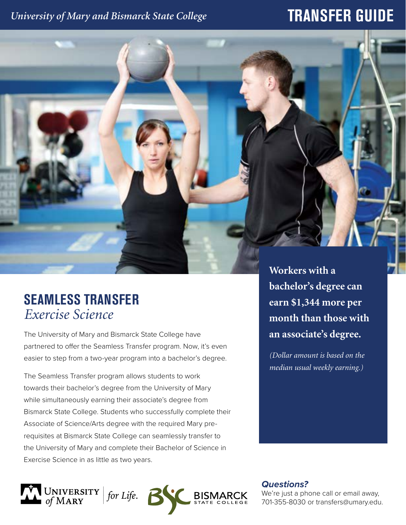### *University of Mary and Bismarck State College*

# **TRANSFER GUIDE**



## **SEAMLESS TRANSFER** *Exercise Science*

The University of Mary and Bismarck State College have partnered to offer the Seamless Transfer program. Now, it's even easier to step from a two-year program into a bachelor's degree.

The Seamless Transfer program allows students to work towards their bachelor's degree from the University of Mary while simultaneously earning their associate's degree from Bismarck State College. Students who successfully complete their Associate of Science/Arts degree with the required Mary prerequisites at Bismarck State College can seamlessly transfer to the University of Mary and complete their Bachelor of Science in Exercise Science in as little as two years.

**bachelor's degree can earn \$1,344 more per month than those with an associate's degree.** 

*(Dollar amount is based on the median usual weekly earning.)*

UNIVERSITY | for Life.

*Questions?*

We're just a phone call or email away, 701-355-8030 or transfers@umary.edu.